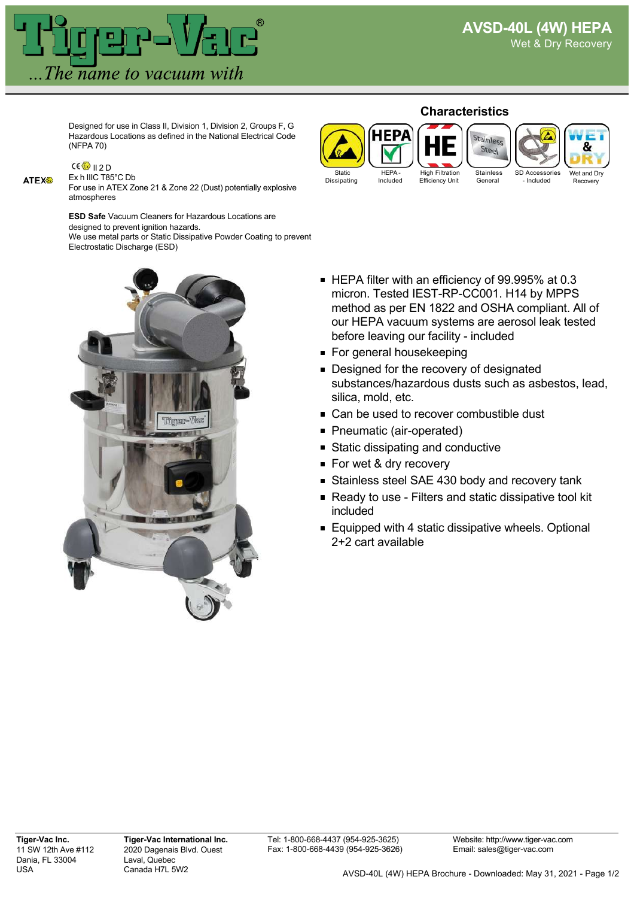

Designed for use in Class II, Division 1, Division 2, Groups F, G Hazardous Locations as defined in the National Electrical Code (NFPA 70)

# **ATEX®**

#### $CE$  II 2 D Ex h IIIC T85°C Db

For use in ATEX Zone 21 & Zone 22 (Dust) potentially explosive atmospheres

**ESD Safe** Vacuum Cleaners for Hazardous Locations are

designed to prevent ignition hazards. We use metal parts or Static Dissipative Powder Coating to prevent



#### **Characteristics**



- HEPA filter with an efficiency of 99.995% at 0.3 micron. Tested IEST-RP-CC001. H14 by MPPS method as per EN 1822 and OSHA compliant. All of our HEPA vacuum systems are aerosol leak tested before leaving our facility - included
- For general housekeeping
- Designed for the recovery of designated substances/hazardous dusts such as asbestos, lead, silica, mold, etc.
- Can be used to recover combustible dust
- Pneumatic (air-operated)
- **Static dissipating and conductive**
- For wet & dry recovery
- Stainless steel SAE 430 body and recovery tank
- Ready to use Filters and static dissipative tool kit included
- Equipped with 4 static dissipative wheels. Optional 2+2 cart available